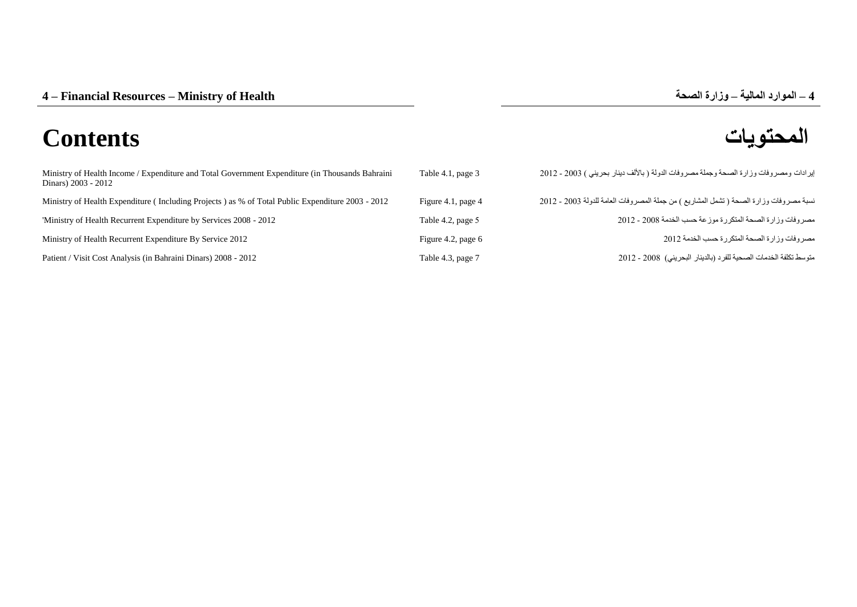| Ministry of Health Income / Expenditure and Total Government Expenditure (in Thousands Bahraini<br>Dinars) 2003 - 2012 | Table 4.1, page 3  | إيرادات ومصروفات وزارة الصحة وجملة مصروفات الدولة ( بالألف دينار بحريني ) 2003 - 2012    |
|------------------------------------------------------------------------------------------------------------------------|--------------------|------------------------------------------------------------------------------------------|
| Ministry of Health Expenditure (Including Projects) as % of Total Public Expenditure 2003 - 2012                       | Figure 4.1, page 4 | نسبة مصر وفات وزارة الصحة ( تشمل المشاريع ) من جملة المصر وفات العامة للدولة 2003 - 2012 |
| 'Ministry of Health Recurrent Expenditure by Services 2008 - 2012                                                      | Table 4.2, page 5  | مصروفات وزارة الصحة المتكررة موزعة حسب الخدمة 2008 ـ 2012                                |
| Ministry of Health Recurrent Expenditure By Service 2012                                                               | Figure 4.2, page 6 | مصروفات وزارة الصحة المتكررة حسب الخدمة 2012                                             |
| Patient / Visit Cost Analysis (in Bahraini Dinars) 2008 - 2012                                                         | Table 4.3, page 7  | متوسط تكلفة الخدمات الصحية للفرد (بالدينار البحريني)  2008 - 2012                        |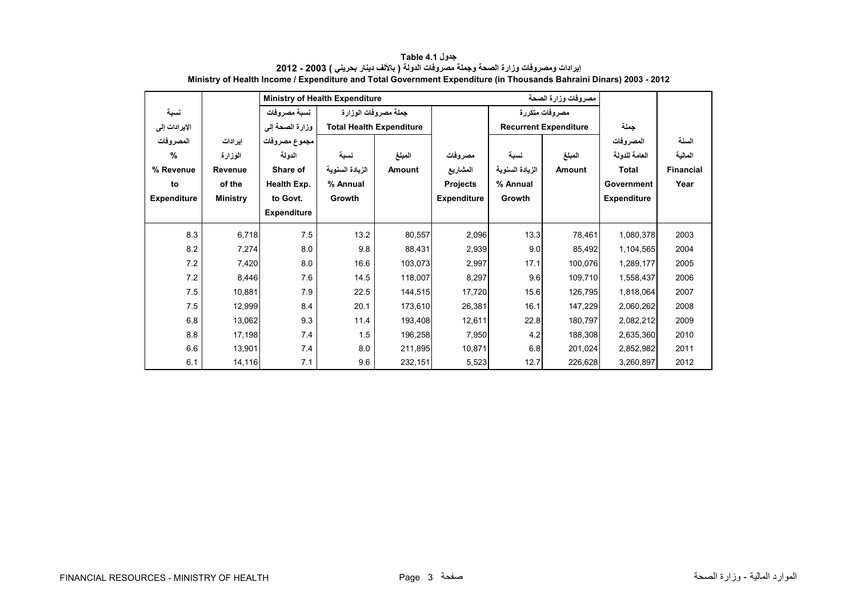<span id="page-1-0"></span>

|                    |                 |                    | Ministry of Health Expenditure  |               |                    | مصروفات وزارة الصحة          |               |                    |                  |
|--------------------|-----------------|--------------------|---------------------------------|---------------|--------------------|------------------------------|---------------|--------------------|------------------|
| نسبة               |                 | نسبة مصروفات       | جملة مصروفات الوزارة            |               |                    | مصروفات متكررة               |               |                    |                  |
| الإيرادات إلى      |                 | وزارة الصحة إلى    | <b>Total Health Expenditure</b> |               |                    | <b>Recurrent Expenditure</b> |               | جملة               |                  |
| المصر وفات         | إيرادات         | مجموع مصروفات      |                                 |               |                    |                              |               | المصروفات          | السنة            |
| $\%$               | الوزارة         | الدولة             | نسبة                            | المبلغ        | مصروفات            | نسبة                         | المبلغ        | العامة للدولة      | المالية          |
| % Revenue          | <b>Revenue</b>  | Share of           | الزيادة السنوية                 | <b>Amount</b> | المشاريع           | الزيادة السنوية              | <b>Amount</b> | <b>Total</b>       | <b>Financial</b> |
| to                 | of the          | Health Exp.        | % Annual                        |               | <b>Projects</b>    | % Annual                     |               | Government         | Year             |
| <b>Expenditure</b> | <b>Ministry</b> | to Govt.           | <b>Growth</b>                   |               | <b>Expenditure</b> | <b>Growth</b>                |               | <b>Expenditure</b> |                  |
|                    |                 | <b>Expenditure</b> |                                 |               |                    |                              |               |                    |                  |
| 8.3                | 6,718           | 7.5                | 13.2                            | 80,557        | 2,096              | 13.3                         | 78,461        | 1,080,378          | 2003             |
| 8.2                | 7,274           | 8.0                | 9.8                             | 88,431        | 2,939              | 9.0                          | 85,492        | 1,104,565          | 2004             |
| 7.2                | 7,420           | 8.0                | 16.6                            | 103,073       | 2,997              | 17.1                         | 100,076       | 1,289,177          | 2005             |
| 7.2                | 8,446           | 7.6                | 14.5                            | 118,007       | 8,297              | 9.6                          | 109,710       | 1,558,437          | 2006             |
| 7.5                | 10,881          | 7.9                | 22.5                            | 144,515       | 17,720             | 15.6                         | 126,795       | 1,818,064          | 2007             |
| 7.5                | 12,999          | 8.4                | 20.1                            | 173,610       | 26,381             | 16.1                         | 147,229       | 2,060,262          | 2008             |
| 6.8                | 13,062          | 9.3                | 11.4                            | 193,408       | 12,611             | 22.8                         | 180,797       | 2,082,212          | 2009             |
| 8.8                | 17,198          | 7.4                | 1.5                             | 196,258       | 7,950              | 4.2                          | 188,308       | 2,635,360          | 2010             |
| 6.6                | 13,901          | 7.4                | 8.0                             | 211,895       | 10,871             | 6.8                          | 201,024       | 2,852,982          | 2011             |
| 6.1                | 14,116          | 7.1                | 9.6                             | 232,151       | 5,523              | 12.7                         | 226.628       | 3,260,897          | 2012             |

**جدول 4.1 Table إيرادات ومصروفات وزارة الصحة وجملة مصروفات الدولة ( باأللف دينار بحريني ) 2003 - <sup>2012</sup> Ministry of Health Income / Expenditure and Total Government Expenditure (in Thousands Bahraini Dinars) 2003 - 2012**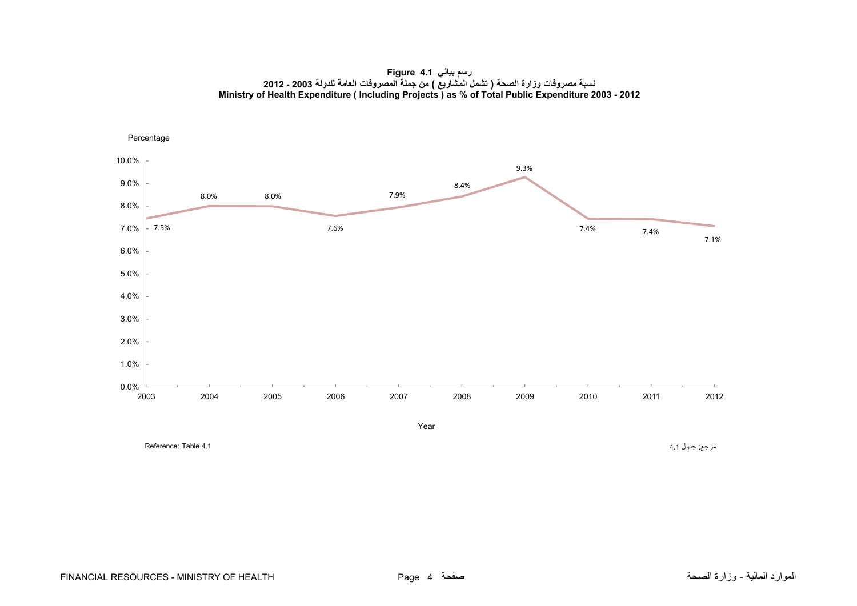**رسم بياني 4.1 Figure نسبة مصروفات وزارة الصحة ( تشمل المشاريع ) من جملة المصروفات العامة للدولة <sup>2003</sup> - <sup>2012</sup> Ministry of Health Expenditure ( Including Projects ) as % of Total Public Expenditure 2003 - 2012**

<span id="page-2-0"></span>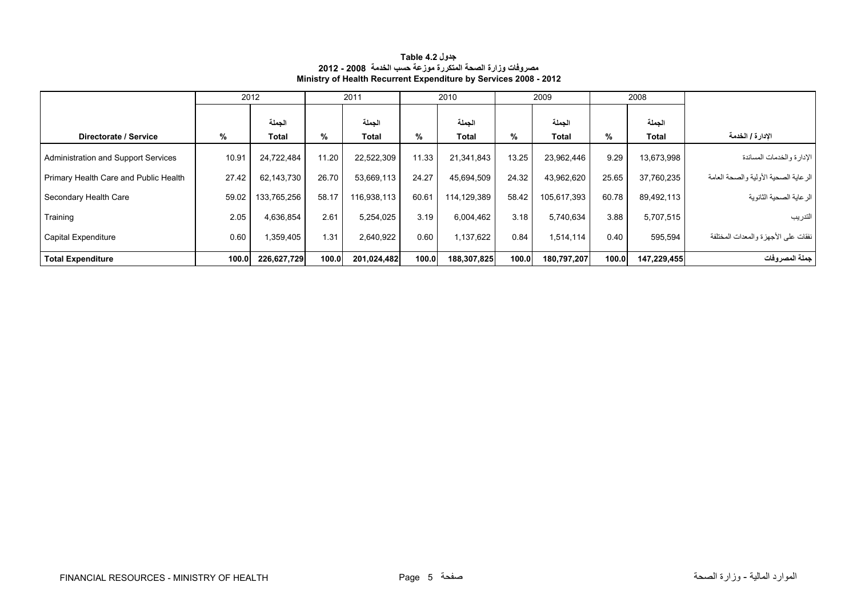## **جدول 4.2 Table مصروفات وزارة الصحة المتكررة موزعة حسب الخدمة 2008 - 2012 Ministry of Health Recurrent Expenditure by Services 2008 - 2012**

<span id="page-3-0"></span>

|                                       |       | 2012                   |       | 2011            |       | 2010                   |       | 2009            |       | 2008                   |                                      |
|---------------------------------------|-------|------------------------|-------|-----------------|-------|------------------------|-------|-----------------|-------|------------------------|--------------------------------------|
| Directorate / Service                 | %     | الجملة<br><b>Total</b> | %     | الجملة<br>Total | %     | الجملة<br><b>Total</b> | %     | الجملة<br>Total | %     | الجملة<br><b>Total</b> | الادارة / الخدمة                     |
|                                       |       |                        |       |                 |       |                        |       |                 |       |                        |                                      |
| Administration and Support Services   | 10.91 | 24,722,484             | 11.20 | 22,522,309      | 11.33 | 21,341,843             | 13.25 | 23.962.446      | 9.29  | 13,673,998             | الإدار ة والخدمات المساندة           |
| Primary Health Care and Public Health | 27.42 | 62,143,730             | 26.70 | 53,669,113      | 24.27 | 45,694,509             | 24.32 | 43.962.620      | 25.65 | 37,760,235             | الرعاية الصحية الأولية والصحة العامة |
| Secondary Health Care                 | 59.02 | 133,765,256            | 58.17 | 116,938,113     | 60.61 | 114,129,389            | 58.42 | 105,617,393     | 60.78 | 89,492,113             | الر عاية الصحية الثانوية             |
| Training                              | 2.05  | 4,636,854              | 2.61  | 5,254,025       | 3.19  | 6,004,462              | 3.18  | 5,740,634       | 3.88  | 5,707,515              | التدريب                              |
| Capital Expenditure                   | 0.60  | .359.405               | 1.31  | 2.640.922       | 0.60  | 1.137.622              | 0.84  | 1.514.114       | 0.40  | 595.594                | نفقات على الأجهز ة والمعدات المختلفة |
| <b>Total Expenditure</b>              | 100.0 | 226,627,729            | 100.0 | 201,024,482     | 100.0 | 188,307,825            | 100.0 | 180,797,207     | 100.0 | 147,229,455            | جملة المصر وفات                      |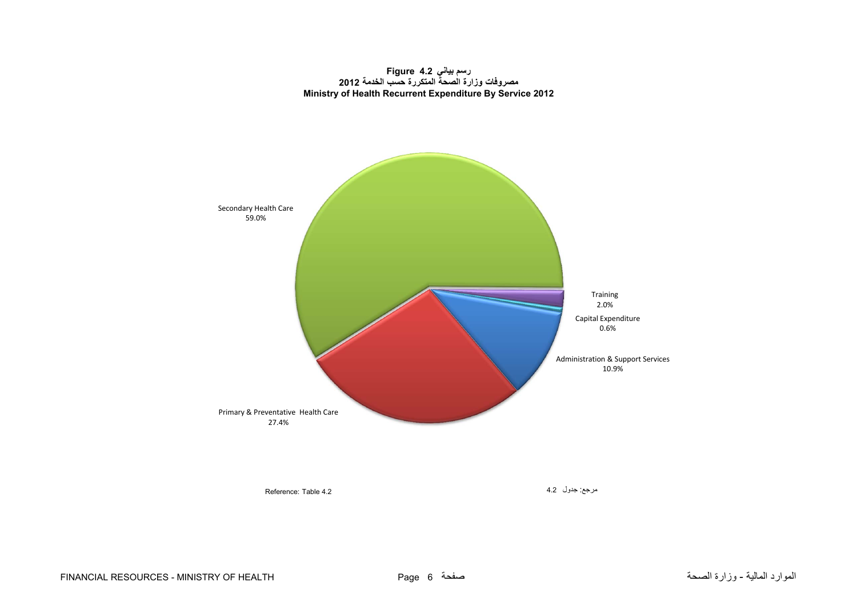<span id="page-4-0"></span>

**رسم بياني 4.2 Figure مصروفات وزارة الصحة المتكررة حسب الخدمة <sup>2012</sup> Ministry of Health Recurrent Expenditure By Service 2012**

Reference: Table 4.2